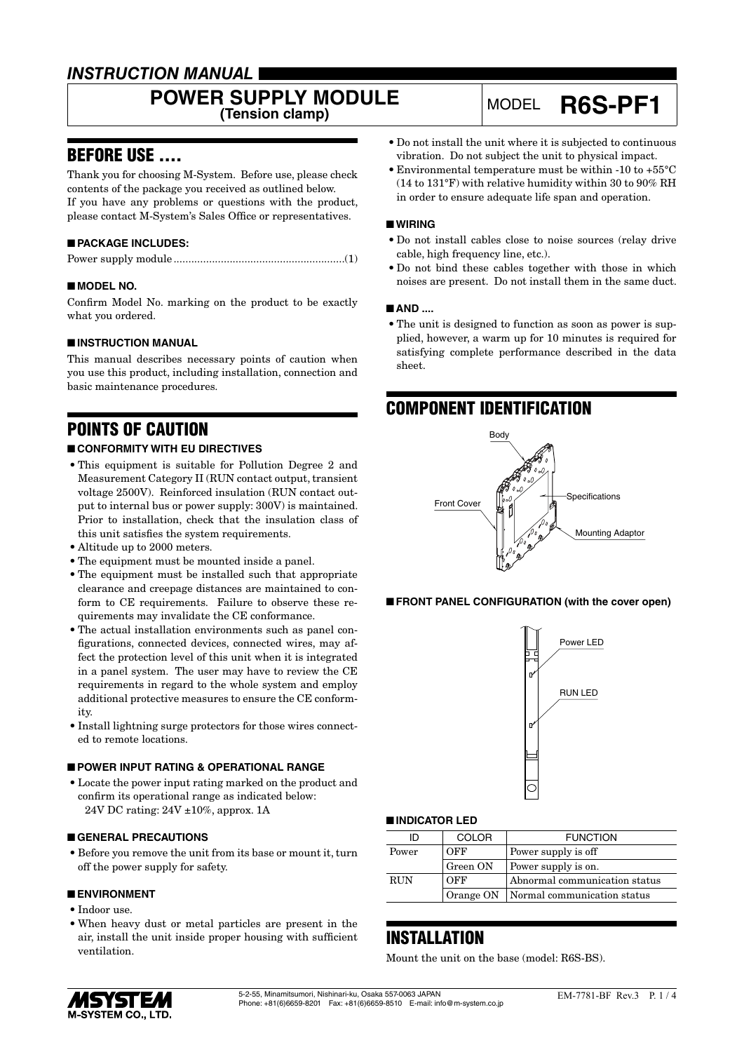## *INSTRUCTION MANUAL*

# **POWER SUPPLY MODULE**

## **(Tension clamp)** MODEL **R6S-PF1**

## BEFORE USE ....

Thank you for choosing M-System. Before use, please check contents of the package you received as outlined below. If you have any problems or questions with the product, please contact M-System's Sales Office or representatives.

#### ■ **PACKAGE INCLUDES:**

|--|

#### ■ **MODEL NO.**

Confirm Model No. marking on the product to be exactly what you ordered.

#### ■ **INSTRUCTION MANUAL**

This manual describes necessary points of caution when you use this product, including installation, connection and basic maintenance procedures.

## POINTS OF CAUTION

#### ■ **CONFORMITY WITH EU DIRECTIVES**

- This equipment is suitable for Pollution Degree 2 and Measurement Category II (RUN contact output, transient voltage 2500V). Reinforced insulation (RUN contact output to internal bus or power supply: 300V) is maintained. Prior to installation, check that the insulation class of this unit satisfies the system requirements.
- Altitude up to 2000 meters.
- The equipment must be mounted inside a panel.
- The equipment must be installed such that appropriate clearance and creepage distances are maintained to conform to CE requirements. Failure to observe these requirements may invalidate the CE conformance.
- The actual installation environments such as panel configurations, connected devices, connected wires, may affect the protection level of this unit when it is integrated in a panel system. The user may have to review the CE requirements in regard to the whole system and employ additional protective measures to ensure the CE conformity.
- Install lightning surge protectors for those wires connected to remote locations.

#### ■ **POWER INPUT RATING & OPERATIONAL RANGE**

• Locate the power input rating marked on the product and confirm its operational range as indicated below: 24V DC rating: 24V ±10%, approx. 1A

#### ■ **GENERAL PRECAUTIONS**

• Before you remove the unit from its base or mount it, turn off the power supply for safety.

#### ■ **ENVIRONMENT**

- Indoor use.
- When heavy dust or metal particles are present in the air, install the unit inside proper housing with sufficient ventilation.
- Do not install the unit where it is subjected to continuous vibration. Do not subject the unit to physical impact.
- Environmental temperature must be within -10 to +55°C (14 to 131°F) with relative humidity within 30 to 90% RH in order to ensure adequate life span and operation.

#### ■ **WIRING**

- Do not install cables close to noise sources (relay drive cable, high frequency line, etc.).
- Do not bind these cables together with those in which noises are present. Do not install them in the same duct.

#### ■ **AND ....**

• The unit is designed to function as soon as power is supplied, however, a warm up for 10 minutes is required for satisfying complete performance described in the data sheet.

### COMPONENT IDENTIFICATION



#### ■ **FRONT PANEL CONFIGURATION (with the cover open)**



#### ■ **INDICATOR LED**

| ID          | COLOR    | <b>FUNCTION</b>                         |
|-------------|----------|-----------------------------------------|
| Power       | OFF      | Power supply is off                     |
|             | Green ON | Power supply is on.                     |
| <b>RIJN</b> | OFF      | Abnormal communication status           |
|             |          | Orange ON   Normal communication status |

### **INSTALLATION**

Mount the unit on the base (model: R6S-BS).

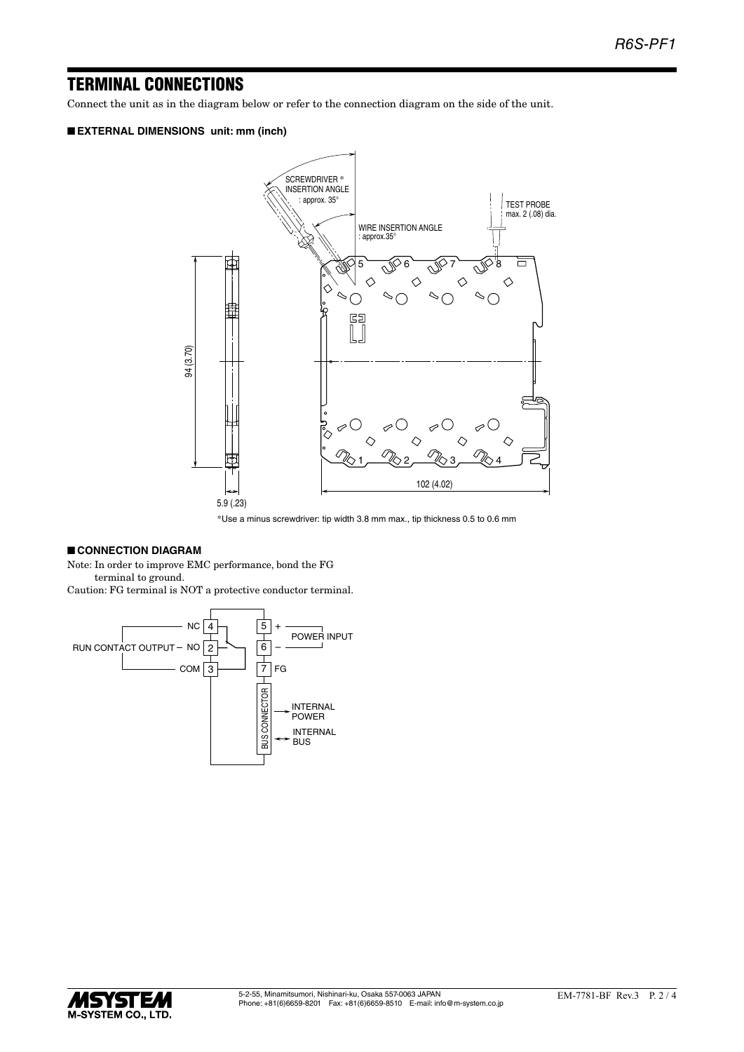## TERMINAL CONNECTIONS

Connect the unit as in the diagram below or refer to the connection diagram on the side of the unit.

#### ■ **EXTERNAL DIMENSIONS unit: mm (inch)**



\*Use a minus screwdriver: tip width 3.8 mm max., tip thickness 0.5 to 0.6 mm

#### ■ **CONNECTION DIAGRAM**

Note: In order to improve EMC performance, bond the FG terminal to ground. Caution: FG terminal is NOT a protective conductor terminal.



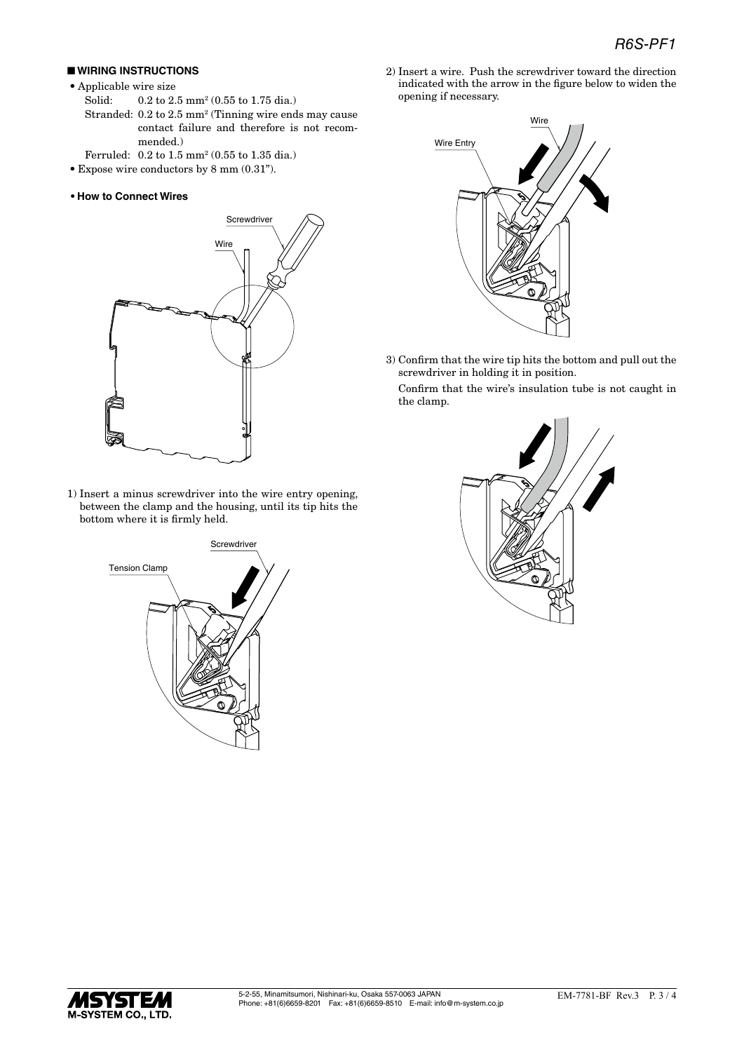#### ■ **WIRING INSTRUCTIONS**

- Applicable wire size
- Solid: 0.2 to 2.5 mm<sup>2</sup> (0.55 to 1.75 dia.) Stranded: 0.2 to 2.5 mm<sup>2</sup> (Tinning wire ends may cause contact failure and therefore is not recommended.)
- Ferruled:  $0.2 \text{ to } 1.5 \text{ mm}^2 (0.55 \text{ to } 1.35 \text{ dia.})$
- Expose wire conductors by 8 mm (0.31").
- **• How to Connect Wires**



1) Insert a minus screwdriver into the wire entry opening, between the clamp and the housing, until its tip hits the bottom where it is firmly held.



2) Insert a wire. Push the screwdriver toward the direction indicated with the arrow in the figure below to widen the opening if necessary.



3) Confirm that the wire tip hits the bottom and pull out the screwdriver in holding it in position.

Confirm that the wire's insulation tube is not caught in the clamp.